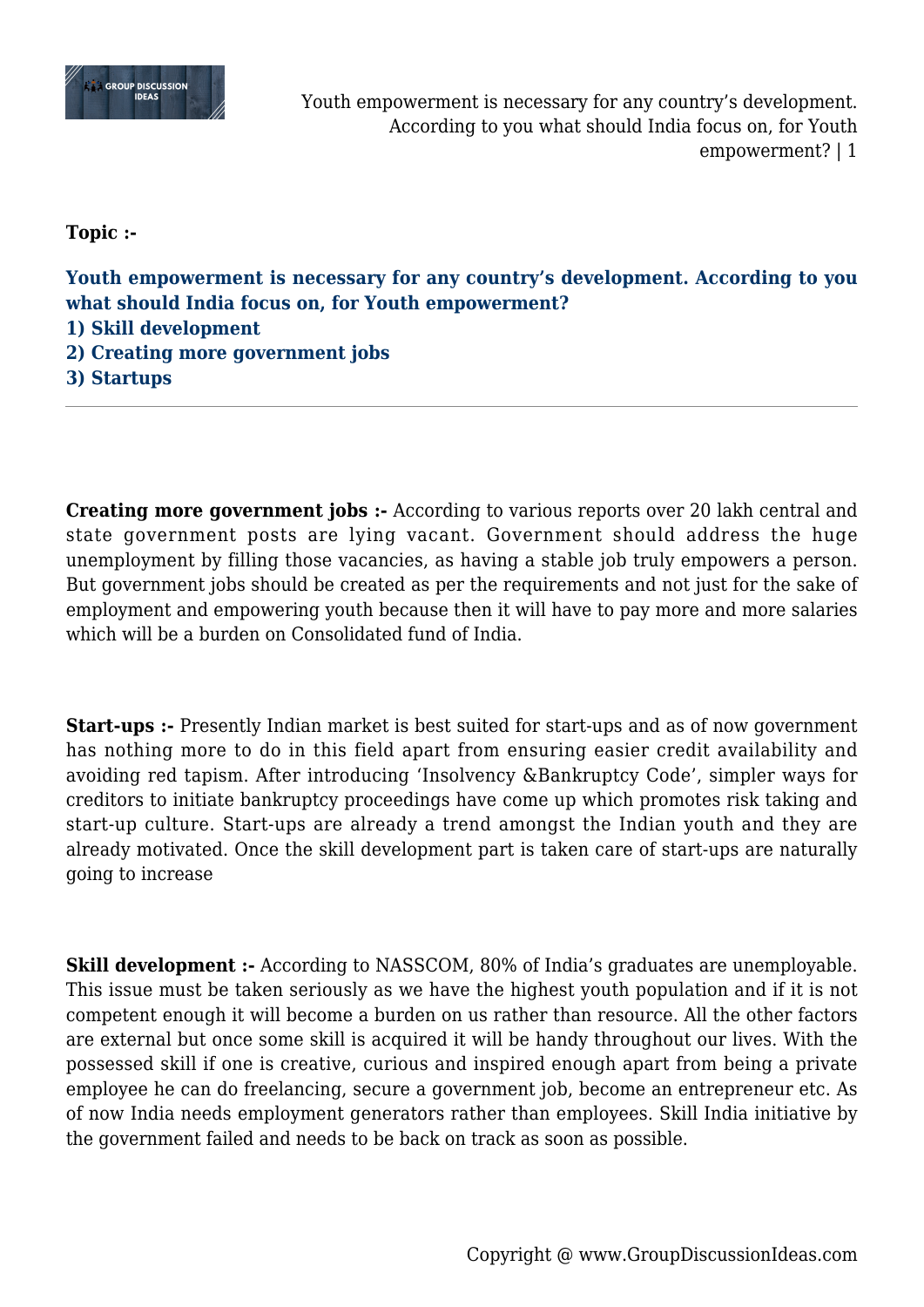

Youth empowerment is necessary for any country's development. According to you what should India focus on, for Youth empowerment? | 1

**Topic :-**

**Youth empowerment is necessary for any country's development. According to you what should India focus on, for Youth empowerment?**

**1) Skill development**

**2) Creating more government jobs**

**3) Startups**

**Creating more government jobs :-** According to various reports over 20 lakh central and state government posts are lying vacant. Government should address the huge unemployment by filling those vacancies, as having a stable job truly empowers a person. But government jobs should be created as per the requirements and not just for the sake of employment and empowering youth because then it will have to pay more and more salaries which will be a burden on Consolidated fund of India.

**Start-ups :-** Presently Indian market is best suited for start-ups and as of now government has nothing more to do in this field apart from ensuring easier credit availability and avoiding red tapism. After introducing 'Insolvency &Bankruptcy Code', simpler ways for creditors to initiate bankruptcy proceedings have come up which promotes risk taking and start-up culture. Start-ups are already a trend amongst the Indian youth and they are already motivated. Once the skill development part is taken care of start-ups are naturally going to increase

**Skill development :-** According to NASSCOM, 80% of India's graduates are unemployable. This issue must be taken seriously as we have the highest youth population and if it is not competent enough it will become a burden on us rather than resource. All the other factors are external but once some skill is acquired it will be handy throughout our lives. With the possessed skill if one is creative, curious and inspired enough apart from being a private employee he can do freelancing, secure a government job, become an entrepreneur etc. As of now India needs employment generators rather than employees. Skill India initiative by the government failed and needs to be back on track as soon as possible.